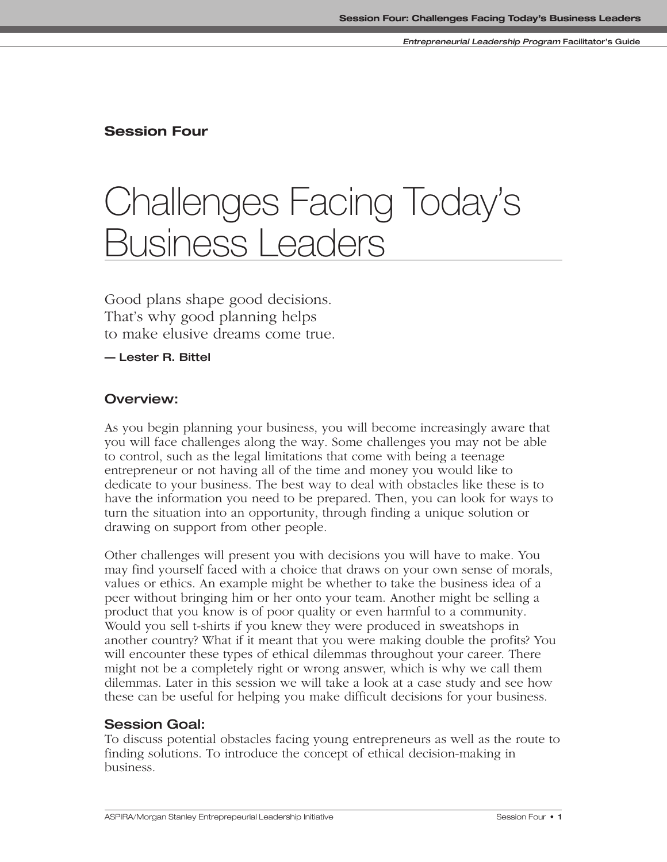### **Session Four**

# Challenges Facing Today's Business Leaders

Good plans shape good decisions. That's why good planning helps to make elusive dreams come true.

**— Lester R. Bittel**

### **Overview:**

As you begin planning your business, you will become increasingly aware that you will face challenges along the way. Some challenges you may not be able to control, such as the legal limitations that come with being a teenage entrepreneur or not having all of the time and money you would like to dedicate to your business. The best way to deal with obstacles like these is to have the information you need to be prepared. Then, you can look for ways to turn the situation into an opportunity, through finding a unique solution or drawing on support from other people.

Other challenges will present you with decisions you will have to make. You may find yourself faced with a choice that draws on your own sense of morals, values or ethics. An example might be whether to take the business idea of a peer without bringing him or her onto your team. Another might be selling a product that you know is of poor quality or even harmful to a community. Would you sell t-shirts if you knew they were produced in sweatshops in another country? What if it meant that you were making double the profits? You will encounter these types of ethical dilemmas throughout your career. There might not be a completely right or wrong answer, which is why we call them dilemmas. Later in this session we will take a look at a case study and see how these can be useful for helping you make difficult decisions for your business.

#### **Session Goal:**

To discuss potential obstacles facing young entrepreneurs as well as the route to finding solutions. To introduce the concept of ethical decision-making in business.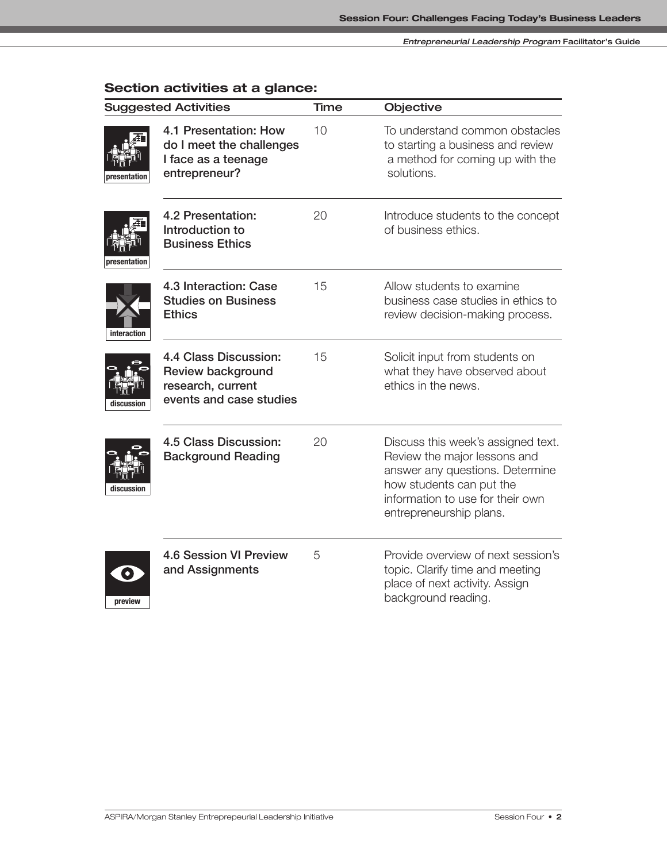| <b>Suggested Activities</b>                                                                                     | <b>Time</b> | <b>Objective</b>                                                                                                                                                                                 |
|-----------------------------------------------------------------------------------------------------------------|-------------|--------------------------------------------------------------------------------------------------------------------------------------------------------------------------------------------------|
| 4.1 Presentation: How<br>do I meet the challenges<br>I face as a teenage<br>entrepreneur?<br>presentation       | 10          | To understand common obstacles<br>to starting a business and review<br>a method for coming up with the<br>solutions.                                                                             |
| 4.2 Presentation:<br>Introduction to<br><b>Business Ethics</b><br>presentation                                  | 20          | Introduce students to the concept<br>of business ethics.                                                                                                                                         |
| 4.3 Interaction: Case<br><b>Studies on Business</b><br><b>Ethics</b><br>interaction                             | 15          | Allow students to examine<br>business case studies in ethics to<br>review decision-making process.                                                                                               |
| 4.4 Class Discussion:<br><b>Review background</b><br>research, current<br>events and case studies<br>discussion | 15          | Solicit input from students on<br>what they have observed about<br>ethics in the news.                                                                                                           |
| 4.5 Class Discussion:<br><b>Background Reading</b><br>discussion                                                | 20          | Discuss this week's assigned text.<br>Review the major lessons and<br>answer any questions. Determine<br>how students can put the<br>information to use for their own<br>entrepreneurship plans. |
| <b>4.6 Session VI Preview</b><br>and Assignments<br>$\bullet$<br>preview                                        | 5           | Provide overview of next session's<br>topic. Clarify time and meeting<br>place of next activity. Assign<br>background reading.                                                                   |

# **Section activities at a glance:**



ASPIRA/Morgan Stanley Entreprepeurial Leadership Initiative **Session Four • 2** Session Four • 2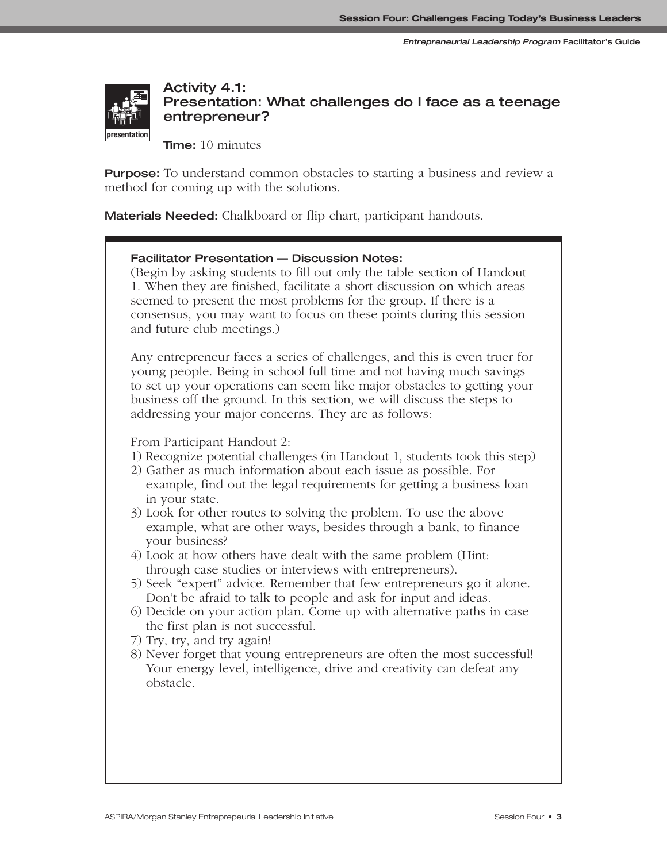

**Activity 4.1: Presentation: What challenges do I face as a teenage entrepreneur?**

**Time:** 10 minutes

**Purpose:** To understand common obstacles to starting a business and review a method for coming up with the solutions.

**Materials Needed:** Chalkboard or flip chart, participant handouts.

#### **Facilitator Presentation — Discussion Notes:**

(Begin by asking students to fill out only the table section of Handout 1. When they are finished, facilitate a short discussion on which areas seemed to present the most problems for the group. If there is a consensus, you may want to focus on these points during this session and future club meetings.)

Any entrepreneur faces a series of challenges, and this is even truer for young people. Being in school full time and not having much savings to set up your operations can seem like major obstacles to getting your business off the ground. In this section, we will discuss the steps to addressing your major concerns. They are as follows:

From Participant Handout 2:

- 1) Recognize potential challenges (in Handout 1, students took this step)
- 2) Gather as much information about each issue as possible. For example, find out the legal requirements for getting a business loan in your state.
- 3) Look for other routes to solving the problem. To use the above example, what are other ways, besides through a bank, to finance your business?
- 4) Look at how others have dealt with the same problem (Hint: through case studies or interviews with entrepreneurs).
- 5) Seek "expert" advice. Remember that few entrepreneurs go it alone. Don't be afraid to talk to people and ask for input and ideas.
- 6) Decide on your action plan. Come up with alternative paths in case the first plan is not successful.
- 7) Try, try, and try again!
- 8) Never forget that young entrepreneurs are often the most successful! Your energy level, intelligence, drive and creativity can defeat any obstacle.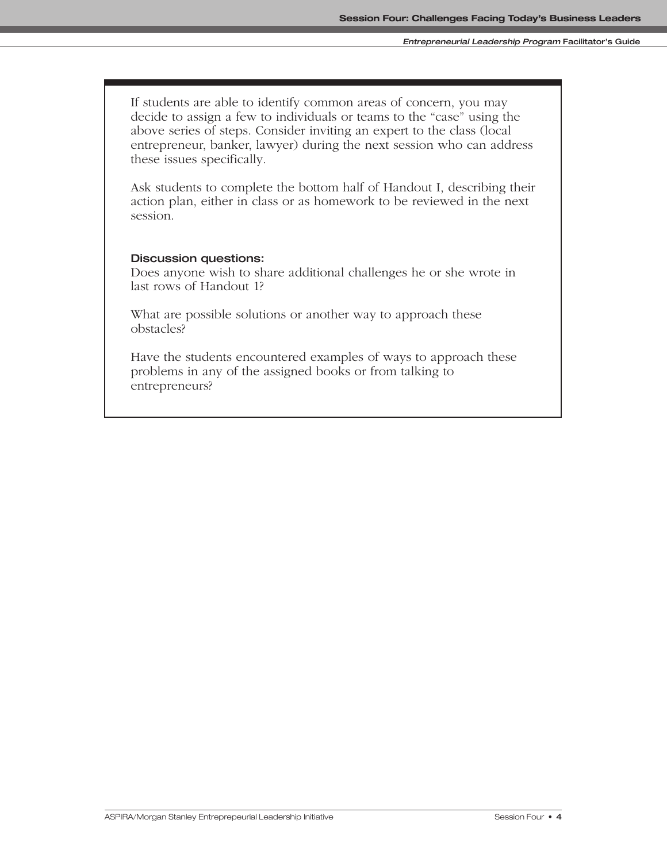If students are able to identify common areas of concern, you may decide to assign a few to individuals or teams to the "case" using the above series of steps. Consider inviting an expert to the class (local entrepreneur, banker, lawyer) during the next session who can address these issues specifically.

Ask students to complete the bottom half of Handout I, describing their action plan, either in class or as homework to be reviewed in the next session.

#### **Discussion questions:**

Does anyone wish to share additional challenges he or she wrote in last rows of Handout 1?

What are possible solutions or another way to approach these obstacles?

Have the students encountered examples of ways to approach these problems in any of the assigned books or from talking to entrepreneurs?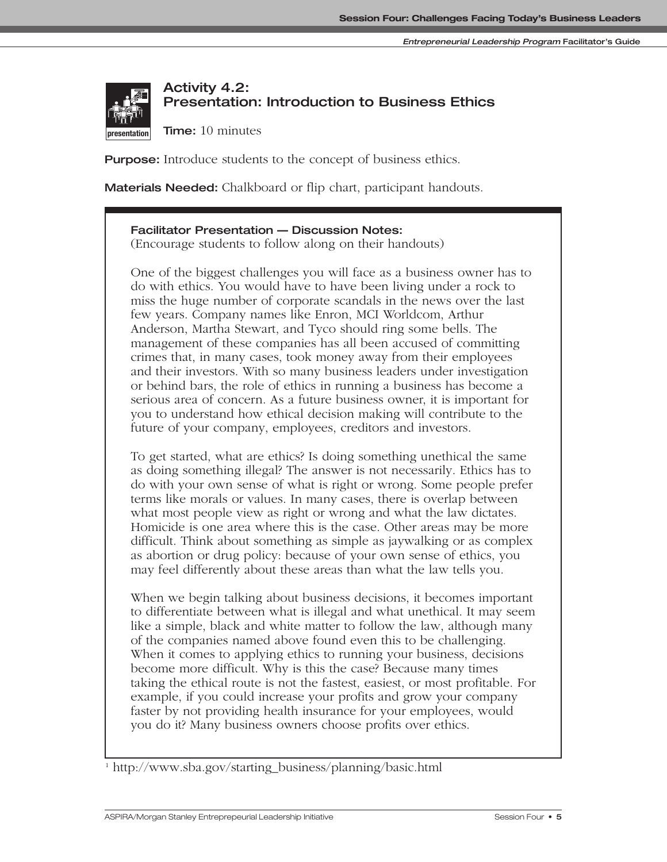

**book talk**

## **Activity 4.2: Presentation: Introduction to Business Ethics**

**Time:** 10 minutes

**preview**

**Purpose:** Introduce students to the concept of business ethics.

**Materials Needed:** Chalkboard or flip chart, participant handouts.

### **Facilitator Presentation — Discussion Notes:**

(Encourage students to follow along on their handouts)

One of the biggest challenges you will face as a business owner has to do with ethics. You would have to have been living under a rock to miss the huge number of corporate scandals in the news over the last few years. Company names like Enron, MCI Worldcom, Arthur **interaction** Anderson, Martha Stewart, and Tyco should ring some bells. The management of these companies has all been accused of committing crimes that, in many cases, took money away from their employees and their investors. With so many business leaders under investigation or behind bars, the role of ethics in running a business has become a serious area of concern. As a future business owner, it is important for you to understand how ethical decision making will contribute to the future of your company, employees, creditors and investors.

To get started, what are ethics? Is doing something unethical the same as doing something illegal? The answer is not necessarily. Ethics has to do with your own sense of what is right or wrong. Some people prefer terms like morals or values. In many cases, there is overlap between what most people view as right or wrong and what the law dictates. Homicide is one area where this is the case. Other areas may be more difficult. Think about something as simple as jaywalking or as complex as abortion or drug policy: because of your own sense of ethics, you may feel differently about these areas than what the law tells you.

When we begin talking about business decisions, it becomes important to differentiate between what is illegal and what unethical. It may seem like a simple, black and white matter to follow the law, although many of the companies named above found even this to be challenging. When it comes to applying ethics to running your business, decisions become more difficult. Why is this the case? Because many times taking the ethical route is not the fastest, easiest, or most profitable. For example, if you could increase your profits and grow your company faster by not providing health insurance for your employees, would you do it? Many business owners choose profits over ethics.

<sup>&</sup>lt;sup>1</sup> http://www.sba.gov/starting\_business/planning/basic.html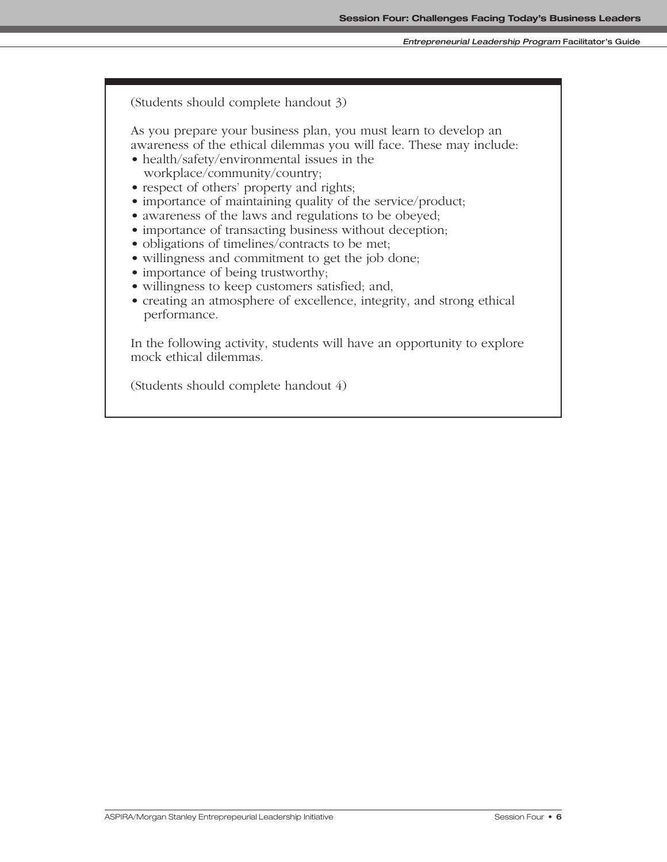#### **Entrepreneurial Leadership Program Facilitator's Guide**

(Students should complete handout 3)

As you prepare your business plan, you must learn to develop an awareness of the ethical dilemmas you will face. These may include:

- health/safety/environmental issues in the workplace/community/country;
- respect of others' property and rights;
- importance of maintaining quality of the service/product;
- awareness of the laws and regulations to be obeyed;
- importance of transacting business without deception;
- obligations of timelines/contracts to be met;
- willingness and commitment to get the job done;
- importance of being trustworthy;
- willingness to keep customers satisfied; and,
- creating an atmosphere of excellence, integrity, and strong ethical performance.

In the following activity, students will have an opportunity to explore mock ethical dilemmas.

(Students should complete handout 4)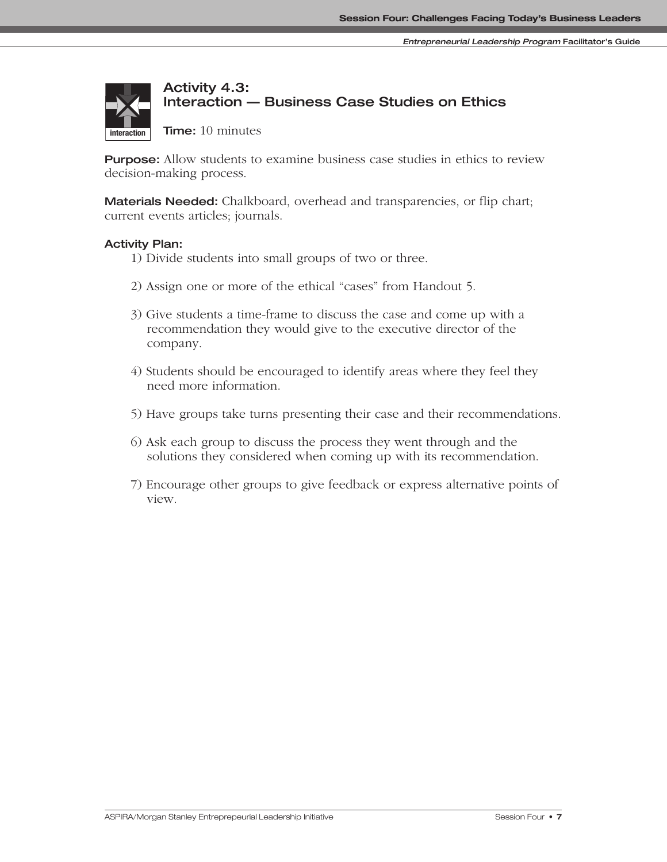# **Activity 4.3: Interaction — Business Case Studies on Ethics**

**Time:** 10 minutes

**Purpose:** Allow students to examine business case studies in ethics to review decision-making process.

**Materials Needed:** Chalkboard, overhead and transparencies, or flip chart; current events articles; journals.

#### **Activity Plan:**

**interaction**

- 1) Divide students into small groups of two or three.
- 2) Assign one or more of the ethical "cases" from Handout 5.
- 3) Give students a time-frame to discuss the case and come up with a recommendation they would give to the executive director of the company.
- 4) Students should be encouraged to identify areas where they feel they need more information.
- 5) Have groups take turns presenting their case and their recommendations.
- 6) Ask each group to discuss the process they went through and the solutions they considered when coming up with its recommendation.
- 7) Encourage other groups to give feedback or express alternative points of view.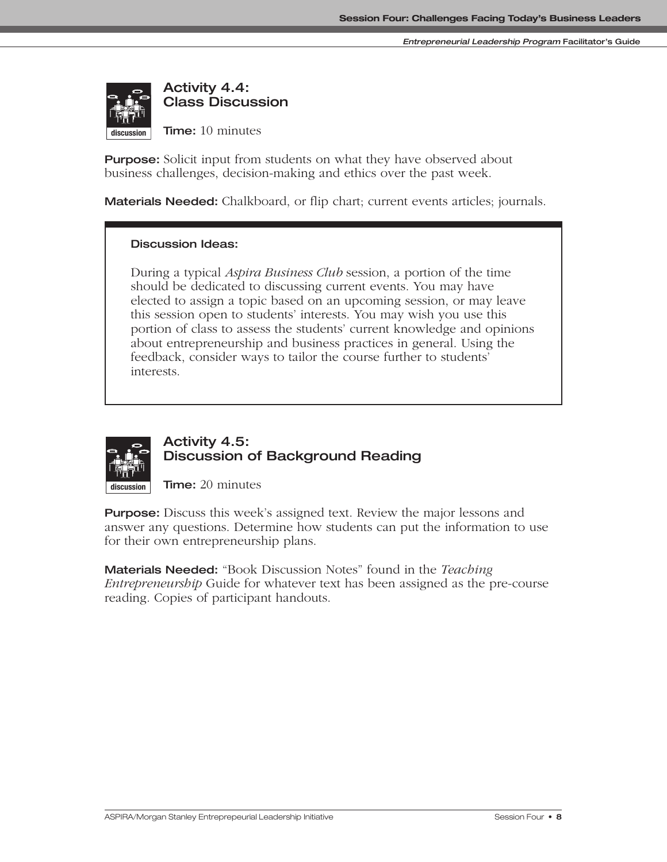

**Activity 4.4: Class Discussion**

**Time:** 10 minutes

**Purpose:** Solicit input from students on what they have observed about business challenges, decision-making and ethics over the past week.

**Materials Needed:** Chalkboard, or flip chart; current events articles; journals.

#### **Discussion Ideas:**

During a typical *Aspira Business Club* session, a portion of the time should be dedicated to discussing current events. You may have elected to assign a topic based on an upcoming session, or may leave this session open to students' interests. You may wish you use this portion of class to assess the students' current knowledge and opinions about entrepreneurship and business practices in general. Using the feedback, consider ways to tailor the course further to students' interests.



### **Activity 4.5: Discussion of Background Reading**

**Time:** 20 minutes

**Purpose:** Discuss this week's assigned text. Review the major lessons and answer any questions. Determine how students can put the information to use for their own entrepreneurship plans.

**Materials Needed:** "Book Discussion Notes" found in the *Teaching Entrepreneurship* Guide for whatever text has been assigned as the pre-course reading. Copies of participant handouts.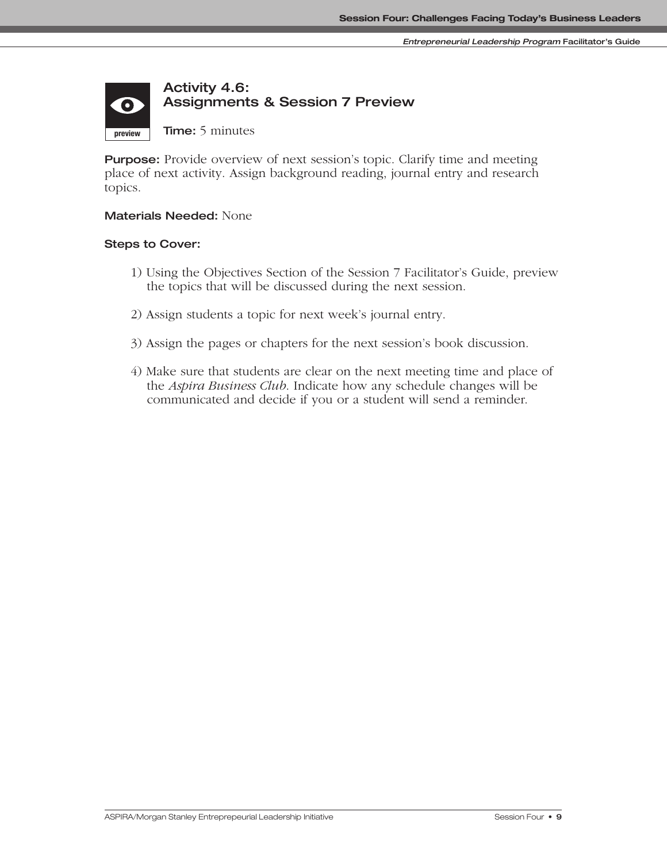### **Activity 4.6: Assignments & Session 7 Preview**  $\bullet$ **preview**

**Time:** 5 minutes

**Purpose:** Provide overview of next session's topic. Clarify time and meeting place of next activity. Assign background reading, journal entry and research topics.

#### **Materials Needed:** None

#### **Steps to Cover:**

**presentation discussion**

- 1) Using the Objectives Section of the Session 7 Facilitator's Guide, preview the topics that will be discussed during the next session.
- 2) Assign students a topic for next week's journal entry.
- 3) Assign the pages or chapters for the next session's book discussion.
- 4) Make sure that students are clear on the next meeting time and place of the *Aspira Business Club*. Indicate how any schedule changes will be communicated and decide if you or a student will send a reminder.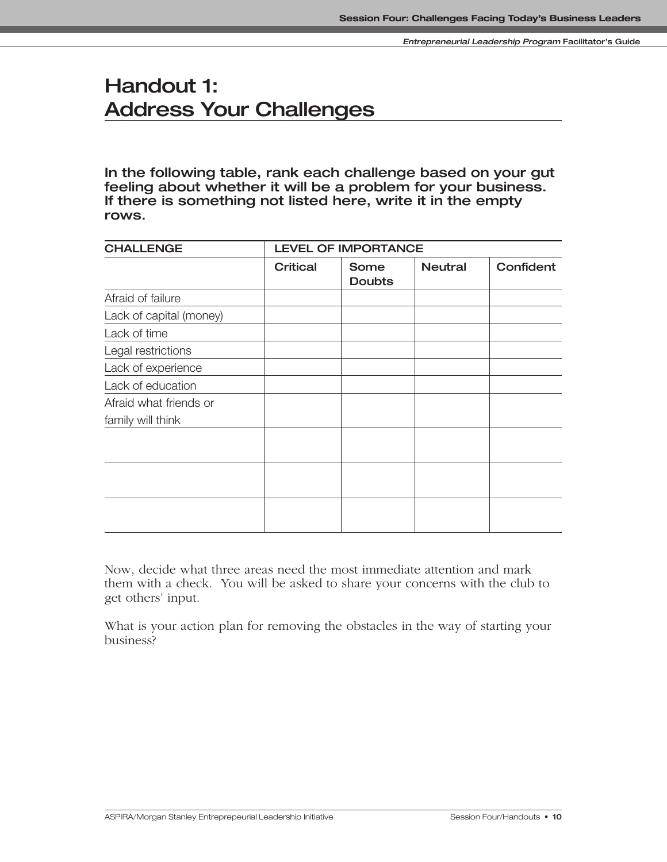# **Handout 1: Address Your Challenges**

**In the following table, rank each challenge based on your gut feeling about whether it will be a problem for your business. If there is something not listed here, write it in the empty rows.**

| <b>CHALLENGE</b>        | <b>LEVEL OF IMPORTANCE</b> |                       |                |           |  |
|-------------------------|----------------------------|-----------------------|----------------|-----------|--|
|                         | <b>Critical</b>            | Some<br><b>Doubts</b> | <b>Neutral</b> | Confident |  |
| Afraid of failure       |                            |                       |                |           |  |
| Lack of capital (money) |                            |                       |                |           |  |
| Lack of time            |                            |                       |                |           |  |
| Legal restrictions      |                            |                       |                |           |  |
| Lack of experience      |                            |                       |                |           |  |
| Lack of education       |                            |                       |                |           |  |
| Afraid what friends or  |                            |                       |                |           |  |
| family will think       |                            |                       |                |           |  |
|                         |                            |                       |                |           |  |
|                         |                            |                       |                |           |  |
|                         |                            |                       |                |           |  |

Now, decide what three areas need the most immediate attention and mark them with a check. You will be asked to share your concerns with the club to get others' input.

What is your action plan for removing the obstacles in the way of starting your business?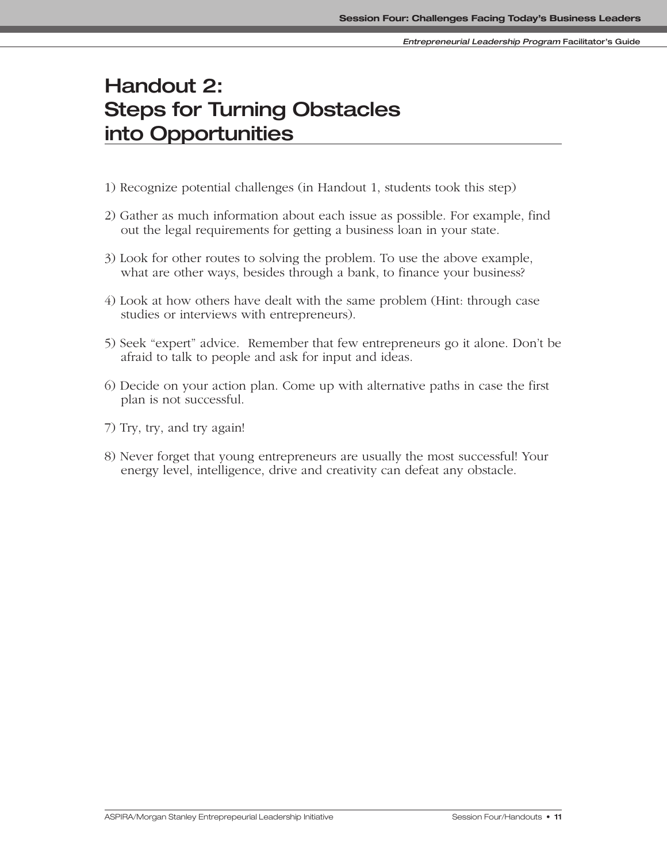# **Handout 2: Steps for Turning Obstacles into Opportunities**

- 1) Recognize potential challenges (in Handout 1, students took this step)
- 2) Gather as much information about each issue as possible. For example, find out the legal requirements for getting a business loan in your state.
- 3) Look for other routes to solving the problem. To use the above example, what are other ways, besides through a bank, to finance your business?
- 4) Look at how others have dealt with the same problem (Hint: through case studies or interviews with entrepreneurs).
- 5) Seek "expert" advice. Remember that few entrepreneurs go it alone. Don't be afraid to talk to people and ask for input and ideas.
- 6) Decide on your action plan. Come up with alternative paths in case the first plan is not successful.
- 7) Try, try, and try again!
- 8) Never forget that young entrepreneurs are usually the most successful! Your energy level, intelligence, drive and creativity can defeat any obstacle.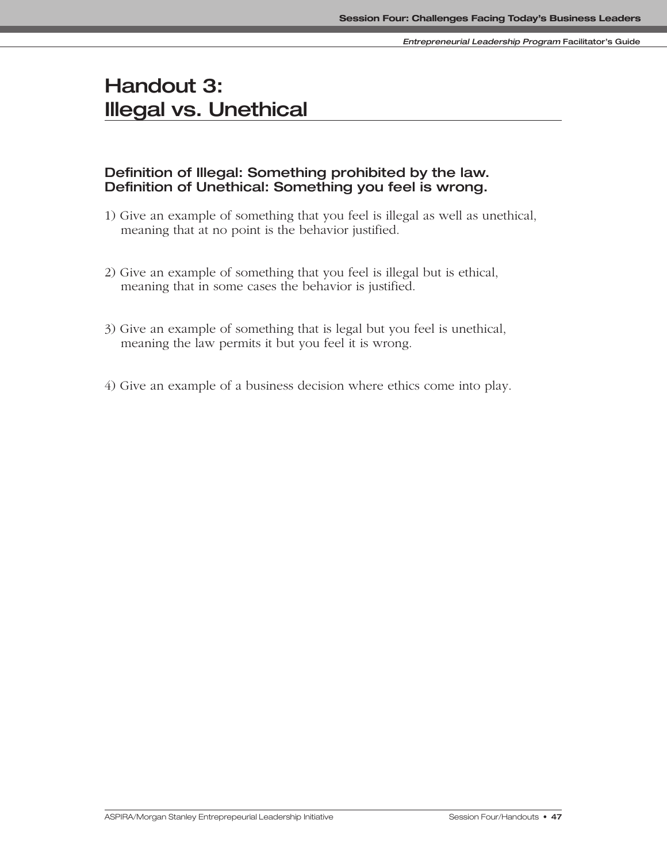# **Handout 3: Illegal vs. Unethical**

### **Definition of Illegal: Something prohibited by the law. Definition of Unethical: Something you feel is wrong.**

- 1) Give an example of something that you feel is illegal as well as unethical, meaning that at no point is the behavior justified.
- 2) Give an example of something that you feel is illegal but is ethical, meaning that in some cases the behavior is justified.
- 3) Give an example of something that is legal but you feel is unethical, meaning the law permits it but you feel it is wrong.
- 4) Give an example of a business decision where ethics come into play.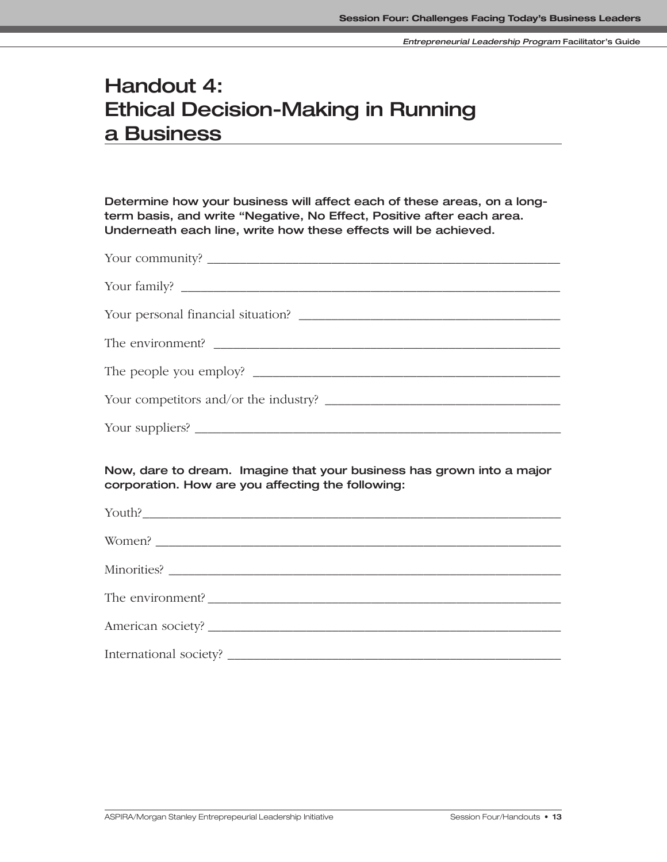# **Handout 4: Ethical Decision-Making in Running a Business**

**Determine how your business will affect each of these areas, on a longterm basis, and write "Negative, No Effect, Positive after each area. Underneath each line, write how these effects will be achieved.**

| Your community?                                                                                                                                                                                                                                                                                                                                                                                                 |
|-----------------------------------------------------------------------------------------------------------------------------------------------------------------------------------------------------------------------------------------------------------------------------------------------------------------------------------------------------------------------------------------------------------------|
|                                                                                                                                                                                                                                                                                                                                                                                                                 |
|                                                                                                                                                                                                                                                                                                                                                                                                                 |
|                                                                                                                                                                                                                                                                                                                                                                                                                 |
|                                                                                                                                                                                                                                                                                                                                                                                                                 |
|                                                                                                                                                                                                                                                                                                                                                                                                                 |
| Your suppliers? $\frac{1}{\sqrt{1-\frac{1}{2}}}\left\{ \frac{1}{2}, \frac{1}{2}, \frac{1}{2}, \frac{1}{2}, \frac{1}{2}, \frac{1}{2}, \frac{1}{2}, \frac{1}{2}, \frac{1}{2}, \frac{1}{2}, \frac{1}{2}, \frac{1}{2}, \frac{1}{2}, \frac{1}{2}, \frac{1}{2}, \frac{1}{2}, \frac{1}{2}, \frac{1}{2}, \frac{1}{2}, \frac{1}{2}, \frac{1}{2}, \frac{1}{2}, \frac{1}{2}, \frac{1}{2}, \frac{1}{2}, \frac{1}{2}, \frac$ |

**Now, dare to dream. Imagine that your business has grown into a major corporation. How are you affecting the following:**